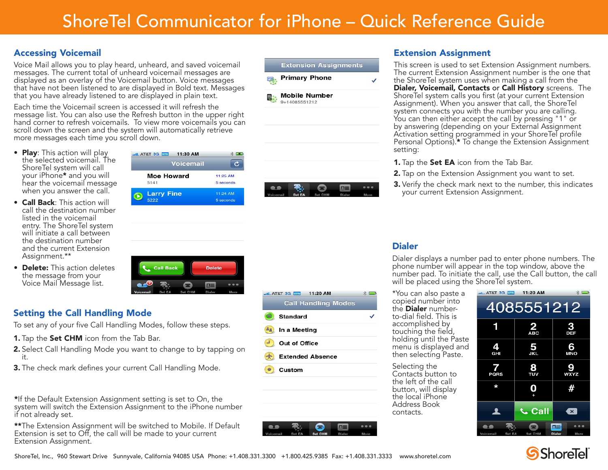#### Accessing Voicemail

Voice Mail allows you to play heard, unheard, and saved voicemail messages. The current total of unheard voicemail messages are displayed as an overlay of the Voicemail button. Voice messages that have not been listened to are displayed in Bold text. Messages that you have already listened to are displayed in plain text.

Each time the Voicemail screen is accessed it will refresh the message list. You can also use the Refresh button in the upper right hand corner to refresh voicemails. To view more voicemails you can scroll down the screen and the system will automatically retrieve more messages each time you scroll down.

... AT&T 3G VPN 11:30 AM

**Moe Howard** 

**Larry Fine** 

5141

5222

**Voicemail** 

- **Play**: This action will play the selected voicemail. The ShoreTel system will call your iPhone\* and you will hear the voicemail message when you answer the call.
- Call Back: This action will call the destination number listed in the voicemail entry. The ShoreTel system will initiate a call between the destination number and the current Extension Assignment.\*\*
- Delete: This action deletes the message from your Voice Mail Message list.



### Setting the Call Handling Mode

To set any of your five Call Handling Modes, follow these steps.

- **1.** Tap the **Set CHM** icon from the Tab Bar.
- 2. Select Call Handling Mode you want to change to by tapping on it.
- **3.** The check mark defines your current Call Handling Mode.

\*If the Default Extension Assignment setting is set to On, the system will switch the Extension Assignment to the iPhone number if not already set.

\*\*The Extension Assignment will be switched to Mobile. If Default Extension is set to Off, the call will be made to your current Extension Assignment.





**AT&T 3G VBN** 11:20 AM

In a Meeting Out of Office

**Extended Absence** 

**Standard** 

Custom

**Call Handling Modes** 

⊏

### Extension Assignment

This screen is used to set Extension Assignment numbers. The current Extension Assignment number is the one that the ShoreTel system uses when making a call from the Dialer, Voicemail, Contacts or Call History screens. The ShoreTel system calls you first (at your current Extension Assignment). When you answer that call, the ShoreTel system connects you with the number you are calling. You can then either accept the call by pressing "1" or by answering (depending on your External Assignment Activation setting programmed in your ShoreTel profile Personal Options).\* To change the Extension Assignment setting:

- **1.** Tap the **Set EA** icon from the Tab Bar.
- **2.** Tap on the Extension Assignment you want to set.
- 3. Verify the check mark next to the number, this indicates your current Extension Assignment.

### Dialer

 $*$   $\blacksquare$ 

 $\checkmark$ 

Dialer displays a number pad to enter phone numbers. The phone number will appear in the top window, above the number pad. To initiate the call, use the Call button, the call will be placed using the ShoreTel system.

\*You can also paste a copied number into the **Dialer** numberto-dial field. This is accomplished by touching the field, holding until the Paste menu is displayed and then selecting Paste.

Selecting the Contacts button to the left of the call button, will display the local iPhone Address Book contacts.





 $*$  $\overline{c}$ 

11:25 AM

5 seconds

11:24 AM

5 seconds